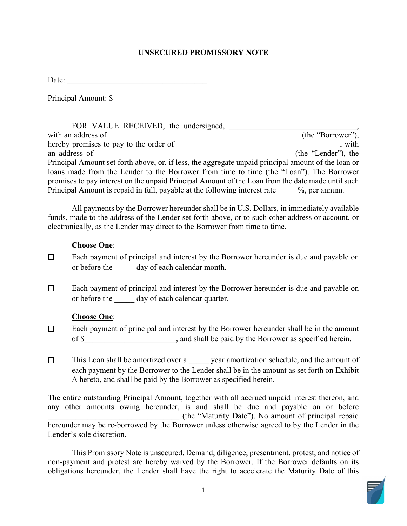#### **UNSECURED PROMISSORY NOTE**

Date:

Principal Amount: \$

| FOR VALUE RECEIVED, the undersigned,                                                                |                     |
|-----------------------------------------------------------------------------------------------------|---------------------|
| with an address of                                                                                  | (the "Borrower"),   |
| hereby promises to pay to the order of                                                              | , with              |
| an address of                                                                                       | (the "Lender"), the |
| Principal Amount set forth above, or, if less, the aggregate unpaid principal amount of the loan or |                     |
| loans made from the Lender to the Borrower from time to time (the "Loan"). The Borrower             |                     |
| promises to pay interest on the unpaid Principal Amount of the Loan from the date made until such   |                     |
| Principal Amount is repaid in full, payable at the following interest rate %, per annum.            |                     |

All payments by the Borrower hereunder shall be in U.S. Dollars, in immediately available funds, made to the address of the Lender set forth above, or to such other address or account, or electronically, as the Lender may direct to the Borrower from time to time.

#### **Choose One**:

- □ Each payment of principal and interest by the Borrower hereunder is due and payable on or before the \_\_\_\_\_ day of each calendar month.
- □ Each payment of principal and interest by the Borrower hereunder is due and payable on or before the day of each calendar quarter.

### **Choose One**:

- □ Each payment of principal and interest by the Borrower hereunder shall be in the amount of \$\_\_\_\_\_\_\_\_\_\_\_\_\_\_\_\_\_\_\_\_\_\_\_, and shall be paid by the Borrower as specified herein.
- □ This Loan shall be amortized over a \_\_\_\_\_\_ year amortization schedule, and the amount of each payment by the Borrower to the Lender shall be in the amount as set forth on Exhibit A hereto, and shall be paid by the Borrower as specified herein.

The entire outstanding Principal Amount, together with all accrued unpaid interest thereon, and any other amounts owing hereunder, is and shall be due and payable on or before \_\_\_\_\_\_\_\_\_\_\_\_\_\_\_\_\_\_\_\_\_\_\_\_\_\_\_\_\_\_\_\_\_ (the "Maturity Date"). No amount of principal repaid hereunder may be re-borrowed by the Borrower unless otherwise agreed to by the Lender in the Lender's sole discretion.

 non-payment and protest are hereby waived by the Borrower. If the Borrower defaults on its obligations hereunder, the Lender shall have the right to accelerate the Maturity Date of this This Promissory Note is unsecured. Demand, diligence, presentment, protest, and notice of

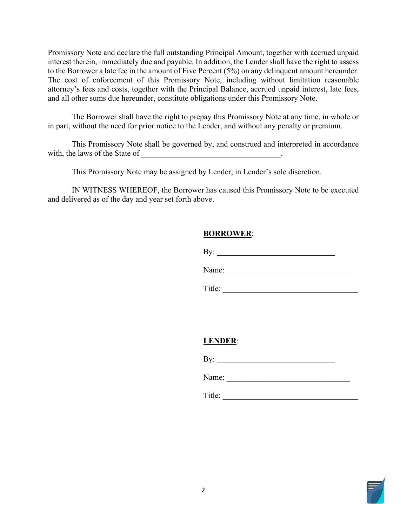interest therein, immediately due and payable. In addition, the Lender shall have the right to assess Promissory Note and declare the full outstanding Principal Amount, together with accrued unpaid to the Borrower a late fee in the amount of Five Percent (5%) on any delinquent amount hereunder. The cost of enforcement of this Promissory Note, including without limitation reasonable attorney's fees and costs, together with the Principal Balance, accrued unpaid interest, late fees, and all other sums due hereunder, constitute obligations under this Promissory Note.

 The Borrower shall have the right to prepay this Promissory Note at any time, in whole or in part, without the need for prior notice to the Lender, and without any penalty or premium.

This Promissory Note shall be governed by, and construed and interpreted in accordance with, the laws of the State of \_\_\_\_\_\_\_\_\_\_\_\_\_\_\_\_\_\_\_\_\_\_\_\_\_\_\_\_\_\_\_\_\_\_\_.

This Promissory Note may be assigned by Lender, in Lender's sole discretion.

 IN WITNESS WHEREOF, the Borrower has caused this Promissory Note to be executed and delivered as of the day and year set forth above.

## **BORROWER**:

By:  $\_$ 

Name: \_\_\_\_\_\_\_\_\_\_\_\_\_\_\_\_\_\_\_\_\_\_\_\_\_\_\_\_\_\_\_

Title: \_\_\_\_\_\_\_\_\_\_\_\_\_\_\_\_\_\_\_\_\_\_\_\_\_\_\_\_\_\_\_\_\_\_

# **LENDER**:

By:

Name:

Title: \_\_\_\_\_\_\_\_\_\_\_\_\_\_\_\_\_\_\_\_\_\_\_\_\_\_\_\_\_\_\_\_\_\_